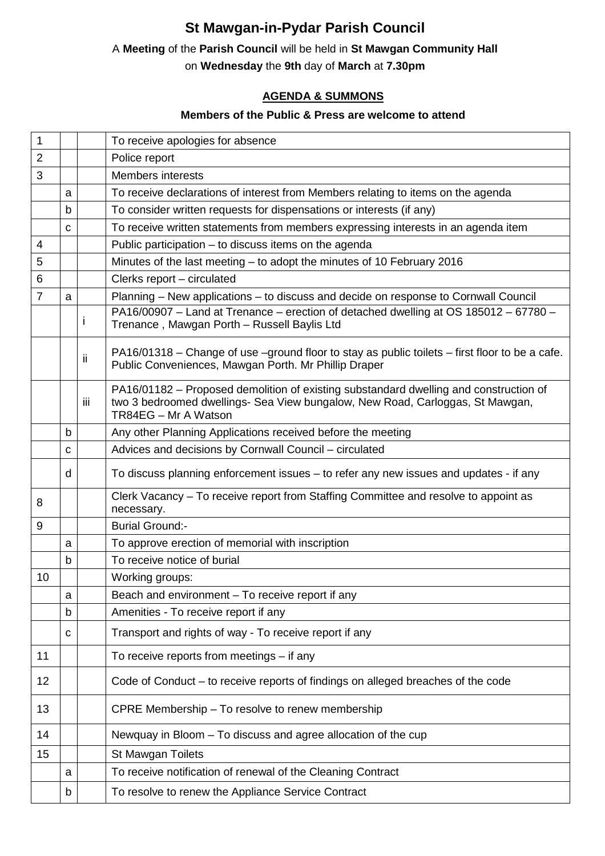# **St Mawgan-in-Pydar Parish Council**

### A **Meeting** of the **Parish Council** will be held in **St Mawgan Community Hall**

on **Wednesday** the **9th** day of **March** at **7.30pm** 

## **AGENDA & SUMMONS**

### **Members of the Public & Press are welcome to attend**

| $\overline{2}$<br>Police report<br>3<br><b>Members interests</b><br>To receive declarations of interest from Members relating to items on the agenda<br>a<br>To consider written requests for dispensations or interests (if any)<br>b<br>To receive written statements from members expressing interests in an agenda item<br>C<br>Public participation - to discuss items on the agenda<br>4<br>Minutes of the last meeting - to adopt the minutes of 10 February 2016<br>5<br>6<br>Clerks report - circulated<br>$\overline{7}$<br>Planning – New applications – to discuss and decide on response to Cornwall Council<br>a<br>PA16/00907 - Land at Trenance - erection of detached dwelling at OS 185012 - 67780 -<br>ı<br>Trenance, Mawgan Porth - Russell Baylis Ltd<br>PA16/01318 – Change of use –ground floor to stay as public toilets – first floor to be a cafe.<br>ii<br>Public Conveniences, Mawgan Porth. Mr Phillip Draper<br>PA16/01182 – Proposed demolition of existing substandard dwelling and construction of<br>two 3 bedroomed dwellings- Sea View bungalow, New Road, Carloggas, St Mawgan,<br>iii<br>TR84EG - Mr A Watson<br>Any other Planning Applications received before the meeting<br>b<br>Advices and decisions by Cornwall Council - circulated<br>C<br>To discuss planning enforcement issues - to refer any new issues and updates - if any<br>d<br>Clerk Vacancy - To receive report from Staffing Committee and resolve to appoint as<br>8<br>necessary.<br><b>Burial Ground:-</b><br>9<br>To approve erection of memorial with inscription<br>a<br>To receive notice of burial<br>b<br>10<br>Working groups:<br>Beach and environment - To receive report if any<br>a<br>Amenities - To receive report if any<br>b<br>Transport and rights of way - To receive report if any<br>C | $\mathbf 1$ |  | To receive apologies for absence |
|--------------------------------------------------------------------------------------------------------------------------------------------------------------------------------------------------------------------------------------------------------------------------------------------------------------------------------------------------------------------------------------------------------------------------------------------------------------------------------------------------------------------------------------------------------------------------------------------------------------------------------------------------------------------------------------------------------------------------------------------------------------------------------------------------------------------------------------------------------------------------------------------------------------------------------------------------------------------------------------------------------------------------------------------------------------------------------------------------------------------------------------------------------------------------------------------------------------------------------------------------------------------------------------------------------------------------------------------------------------------------------------------------------------------------------------------------------------------------------------------------------------------------------------------------------------------------------------------------------------------------------------------------------------------------------------------------------------------------------------------------------------------------------------------------------------------------|-------------|--|----------------------------------|
|                                                                                                                                                                                                                                                                                                                                                                                                                                                                                                                                                                                                                                                                                                                                                                                                                                                                                                                                                                                                                                                                                                                                                                                                                                                                                                                                                                                                                                                                                                                                                                                                                                                                                                                                                                                                                          |             |  |                                  |
|                                                                                                                                                                                                                                                                                                                                                                                                                                                                                                                                                                                                                                                                                                                                                                                                                                                                                                                                                                                                                                                                                                                                                                                                                                                                                                                                                                                                                                                                                                                                                                                                                                                                                                                                                                                                                          |             |  |                                  |
|                                                                                                                                                                                                                                                                                                                                                                                                                                                                                                                                                                                                                                                                                                                                                                                                                                                                                                                                                                                                                                                                                                                                                                                                                                                                                                                                                                                                                                                                                                                                                                                                                                                                                                                                                                                                                          |             |  |                                  |
|                                                                                                                                                                                                                                                                                                                                                                                                                                                                                                                                                                                                                                                                                                                                                                                                                                                                                                                                                                                                                                                                                                                                                                                                                                                                                                                                                                                                                                                                                                                                                                                                                                                                                                                                                                                                                          |             |  |                                  |
|                                                                                                                                                                                                                                                                                                                                                                                                                                                                                                                                                                                                                                                                                                                                                                                                                                                                                                                                                                                                                                                                                                                                                                                                                                                                                                                                                                                                                                                                                                                                                                                                                                                                                                                                                                                                                          |             |  |                                  |
|                                                                                                                                                                                                                                                                                                                                                                                                                                                                                                                                                                                                                                                                                                                                                                                                                                                                                                                                                                                                                                                                                                                                                                                                                                                                                                                                                                                                                                                                                                                                                                                                                                                                                                                                                                                                                          |             |  |                                  |
|                                                                                                                                                                                                                                                                                                                                                                                                                                                                                                                                                                                                                                                                                                                                                                                                                                                                                                                                                                                                                                                                                                                                                                                                                                                                                                                                                                                                                                                                                                                                                                                                                                                                                                                                                                                                                          |             |  |                                  |
|                                                                                                                                                                                                                                                                                                                                                                                                                                                                                                                                                                                                                                                                                                                                                                                                                                                                                                                                                                                                                                                                                                                                                                                                                                                                                                                                                                                                                                                                                                                                                                                                                                                                                                                                                                                                                          |             |  |                                  |
|                                                                                                                                                                                                                                                                                                                                                                                                                                                                                                                                                                                                                                                                                                                                                                                                                                                                                                                                                                                                                                                                                                                                                                                                                                                                                                                                                                                                                                                                                                                                                                                                                                                                                                                                                                                                                          |             |  |                                  |
|                                                                                                                                                                                                                                                                                                                                                                                                                                                                                                                                                                                                                                                                                                                                                                                                                                                                                                                                                                                                                                                                                                                                                                                                                                                                                                                                                                                                                                                                                                                                                                                                                                                                                                                                                                                                                          |             |  |                                  |
|                                                                                                                                                                                                                                                                                                                                                                                                                                                                                                                                                                                                                                                                                                                                                                                                                                                                                                                                                                                                                                                                                                                                                                                                                                                                                                                                                                                                                                                                                                                                                                                                                                                                                                                                                                                                                          |             |  |                                  |
|                                                                                                                                                                                                                                                                                                                                                                                                                                                                                                                                                                                                                                                                                                                                                                                                                                                                                                                                                                                                                                                                                                                                                                                                                                                                                                                                                                                                                                                                                                                                                                                                                                                                                                                                                                                                                          |             |  |                                  |
|                                                                                                                                                                                                                                                                                                                                                                                                                                                                                                                                                                                                                                                                                                                                                                                                                                                                                                                                                                                                                                                                                                                                                                                                                                                                                                                                                                                                                                                                                                                                                                                                                                                                                                                                                                                                                          |             |  |                                  |
|                                                                                                                                                                                                                                                                                                                                                                                                                                                                                                                                                                                                                                                                                                                                                                                                                                                                                                                                                                                                                                                                                                                                                                                                                                                                                                                                                                                                                                                                                                                                                                                                                                                                                                                                                                                                                          |             |  |                                  |
|                                                                                                                                                                                                                                                                                                                                                                                                                                                                                                                                                                                                                                                                                                                                                                                                                                                                                                                                                                                                                                                                                                                                                                                                                                                                                                                                                                                                                                                                                                                                                                                                                                                                                                                                                                                                                          |             |  |                                  |
|                                                                                                                                                                                                                                                                                                                                                                                                                                                                                                                                                                                                                                                                                                                                                                                                                                                                                                                                                                                                                                                                                                                                                                                                                                                                                                                                                                                                                                                                                                                                                                                                                                                                                                                                                                                                                          |             |  |                                  |
|                                                                                                                                                                                                                                                                                                                                                                                                                                                                                                                                                                                                                                                                                                                                                                                                                                                                                                                                                                                                                                                                                                                                                                                                                                                                                                                                                                                                                                                                                                                                                                                                                                                                                                                                                                                                                          |             |  |                                  |
|                                                                                                                                                                                                                                                                                                                                                                                                                                                                                                                                                                                                                                                                                                                                                                                                                                                                                                                                                                                                                                                                                                                                                                                                                                                                                                                                                                                                                                                                                                                                                                                                                                                                                                                                                                                                                          |             |  |                                  |
|                                                                                                                                                                                                                                                                                                                                                                                                                                                                                                                                                                                                                                                                                                                                                                                                                                                                                                                                                                                                                                                                                                                                                                                                                                                                                                                                                                                                                                                                                                                                                                                                                                                                                                                                                                                                                          |             |  |                                  |
|                                                                                                                                                                                                                                                                                                                                                                                                                                                                                                                                                                                                                                                                                                                                                                                                                                                                                                                                                                                                                                                                                                                                                                                                                                                                                                                                                                                                                                                                                                                                                                                                                                                                                                                                                                                                                          |             |  |                                  |
|                                                                                                                                                                                                                                                                                                                                                                                                                                                                                                                                                                                                                                                                                                                                                                                                                                                                                                                                                                                                                                                                                                                                                                                                                                                                                                                                                                                                                                                                                                                                                                                                                                                                                                                                                                                                                          |             |  |                                  |
|                                                                                                                                                                                                                                                                                                                                                                                                                                                                                                                                                                                                                                                                                                                                                                                                                                                                                                                                                                                                                                                                                                                                                                                                                                                                                                                                                                                                                                                                                                                                                                                                                                                                                                                                                                                                                          |             |  |                                  |
|                                                                                                                                                                                                                                                                                                                                                                                                                                                                                                                                                                                                                                                                                                                                                                                                                                                                                                                                                                                                                                                                                                                                                                                                                                                                                                                                                                                                                                                                                                                                                                                                                                                                                                                                                                                                                          |             |  |                                  |
| To receive reports from meetings - if any<br>11                                                                                                                                                                                                                                                                                                                                                                                                                                                                                                                                                                                                                                                                                                                                                                                                                                                                                                                                                                                                                                                                                                                                                                                                                                                                                                                                                                                                                                                                                                                                                                                                                                                                                                                                                                          |             |  |                                  |
| 12<br>Code of Conduct - to receive reports of findings on alleged breaches of the code                                                                                                                                                                                                                                                                                                                                                                                                                                                                                                                                                                                                                                                                                                                                                                                                                                                                                                                                                                                                                                                                                                                                                                                                                                                                                                                                                                                                                                                                                                                                                                                                                                                                                                                                   |             |  |                                  |
| 13<br>CPRE Membership - To resolve to renew membership                                                                                                                                                                                                                                                                                                                                                                                                                                                                                                                                                                                                                                                                                                                                                                                                                                                                                                                                                                                                                                                                                                                                                                                                                                                                                                                                                                                                                                                                                                                                                                                                                                                                                                                                                                   |             |  |                                  |
| 14<br>Newquay in Bloom - To discuss and agree allocation of the cup                                                                                                                                                                                                                                                                                                                                                                                                                                                                                                                                                                                                                                                                                                                                                                                                                                                                                                                                                                                                                                                                                                                                                                                                                                                                                                                                                                                                                                                                                                                                                                                                                                                                                                                                                      |             |  |                                  |
| 15<br>St Mawgan Toilets                                                                                                                                                                                                                                                                                                                                                                                                                                                                                                                                                                                                                                                                                                                                                                                                                                                                                                                                                                                                                                                                                                                                                                                                                                                                                                                                                                                                                                                                                                                                                                                                                                                                                                                                                                                                  |             |  |                                  |
| To receive notification of renewal of the Cleaning Contract<br>a                                                                                                                                                                                                                                                                                                                                                                                                                                                                                                                                                                                                                                                                                                                                                                                                                                                                                                                                                                                                                                                                                                                                                                                                                                                                                                                                                                                                                                                                                                                                                                                                                                                                                                                                                         |             |  |                                  |
| To resolve to renew the Appliance Service Contract<br>b                                                                                                                                                                                                                                                                                                                                                                                                                                                                                                                                                                                                                                                                                                                                                                                                                                                                                                                                                                                                                                                                                                                                                                                                                                                                                                                                                                                                                                                                                                                                                                                                                                                                                                                                                                  |             |  |                                  |